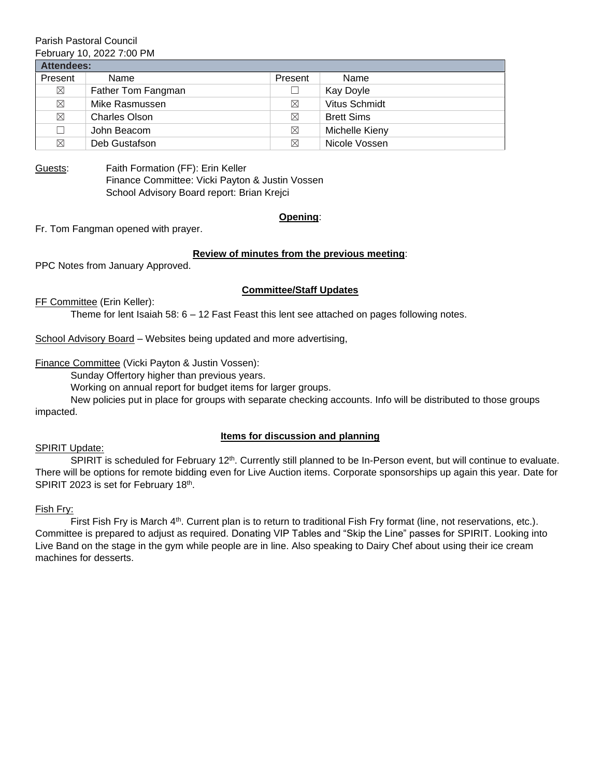# Parish Pastoral Council

February 10, 2022 7:00 PM

| <b>Attendees:</b> |                      |             |                   |
|-------------------|----------------------|-------------|-------------------|
| Present           | Name                 | Present     | Name              |
| $\boxtimes$       | Father Tom Fangman   |             | Kay Doyle         |
| $\boxtimes$       | Mike Rasmussen       | ⊠           | Vitus Schmidt     |
| ⊠                 | <b>Charles Olson</b> | $\boxtimes$ | <b>Brett Sims</b> |
| П                 | John Beacom          | $\boxtimes$ | Michelle Kieny    |
| ⊠                 | Deb Gustafson        | ⊠           | Nicole Vossen     |

Guests: Faith Formation (FF): Erin Keller Finance Committee: Vicki Payton & Justin Vossen School Advisory Board report: Brian Krejci

## **Opening**:

Fr. Tom Fangman opened with prayer.

## **Review of minutes from the previous meeting**:

PPC Notes from January Approved.

## **Committee/Staff Updates**

FF Committee (Erin Keller):

Theme for lent Isaiah 58: 6 – 12 Fast Feast this lent see attached on pages following notes.

School Advisory Board – Websites being updated and more advertising,

Finance Committee (Vicki Payton & Justin Vossen):

Sunday Offertory higher than previous years.

Working on annual report for budget items for larger groups.

New policies put in place for groups with separate checking accounts. Info will be distributed to those groups impacted.

## **Items for discussion and planning**

## SPIRIT Update:

SPIRIT is scheduled for February 12<sup>th</sup>. Currently still planned to be In-Person event, but will continue to evaluate. There will be options for remote bidding even for Live Auction items. Corporate sponsorships up again this year. Date for SPIRIT 2023 is set for February 18th.

## Fish Fry:

First Fish Fry is March 4<sup>th</sup>. Current plan is to return to traditional Fish Fry format (line, not reservations, etc.). Committee is prepared to adjust as required. Donating VIP Tables and "Skip the Line" passes for SPIRIT. Looking into Live Band on the stage in the gym while people are in line. Also speaking to Dairy Chef about using their ice cream machines for desserts.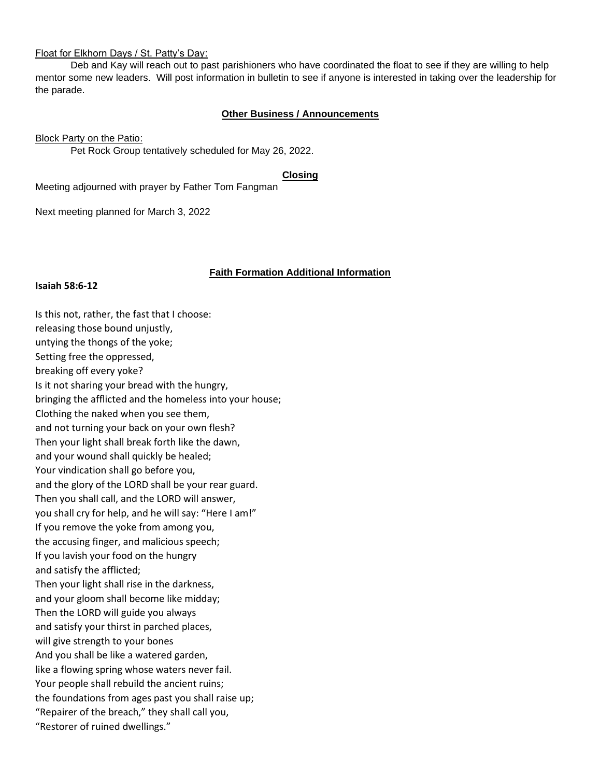#### Float for Elkhorn Days / St. Patty's Day:

Deb and Kay will reach out to past parishioners who have coordinated the float to see if they are willing to help mentor some new leaders. Will post information in bulletin to see if anyone is interested in taking over the leadership for the parade.

#### **Other Business / Announcements**

Block Party on the Patio:

Pet Rock Group tentatively scheduled for May 26, 2022.

#### **Closing**

Meeting adjourned with prayer by Father Tom Fangman

Next meeting planned for March 3, 2022

#### **Faith Formation Additional Information**

**Isaiah 58:6-12**

Is this not, rather, the fast that I choose: releasing those bound unjustly, untying the thongs of the yoke; Setting free the oppressed, breaking off every yoke? Is it not sharing your bread with the hungry, bringing the afflicted and the homeless into your house; Clothing the naked when you see them, and not turning your back on your own flesh? Then your light shall break forth like the dawn, and your wound shall quickly be healed; Your vindication shall go before you, and the glory of the LORD shall be your rear guard. Then you shall call, and the LORD will answer, you shall cry for help, and he will say: "Here I am!" If you remove the yoke from among you, the accusing finger, and malicious speech; If you lavish your food on the hungry and satisfy the afflicted; Then your light shall rise in the darkness, and your gloom shall become like midday; Then the LORD will guide you always and satisfy your thirst in parched places, will give strength to your bones And you shall be like a watered garden, like a flowing spring whose waters never fail. Your people shall rebuild the ancient ruins; the foundations from ages past you shall raise up; "Repairer of the breach," they shall call you, "Restorer of ruined dwellings."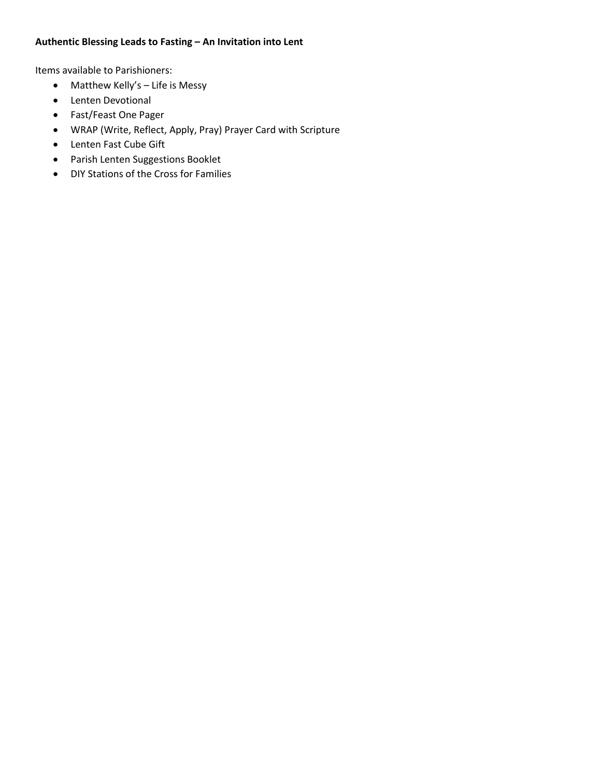## **Authentic Blessing Leads to Fasting – An Invitation into Lent**

Items available to Parishioners:

- Matthew Kelly's Life is Messy
- Lenten Devotional
- Fast/Feast One Pager
- WRAP (Write, Reflect, Apply, Pray) Prayer Card with Scripture
- Lenten Fast Cube Gift
- Parish Lenten Suggestions Booklet
- DIY Stations of the Cross for Families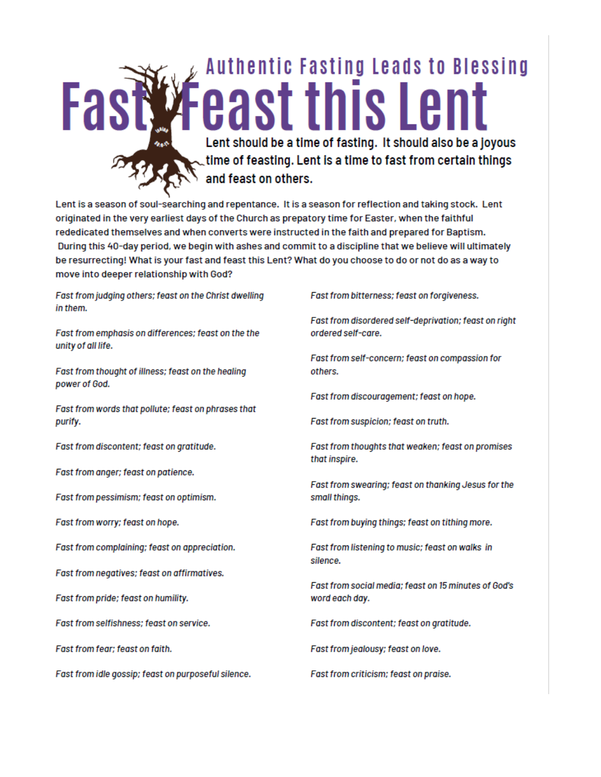

Lent is a season of soul-searching and repentance. It is a season for reflection and taking stock. Lent originated in the very earliest days of the Church as prepatory time for Easter, when the faithful rededicated themselves and when converts were instructed in the faith and prepared for Baptism. During this 40-day period, we begin with ashes and commit to a discipline that we believe will ultimately be resurrecting! What is your fast and feast this Lent? What do you choose to do or not do as a way to move into deeper relationship with God?

Fast from judging others; feast on the Christ dwelling in them.

Fast from emphasis on differences; feast on the the unity of all life.

Fast from thought of illness; feast on the healing power of God.

Fast from words that pollute; feast on phrases that purify.

Fast from discontent; feast on gratitude.

Fast from anger; feast on patience.

Fast from pessimism; feast on optimism.

Fast from worry; feast on hope.

Fast from complaining; feast on appreciation.

Fast from negatives; feast on affirmatives.

Fast from pride; feast on humility.

Fast from selfishness; feast on service.

Fast from fear; feast on faith.

Fast from idle gossip; feast on purposeful silence.

Fast from bitterness; feast on forgiveness.

Fast from disordered self-deprivation; feast on right ordered self-care.

Fast from self-concern; feast on compassion for others.

Fast from discouragement; feast on hope.

Fast from suspicion; feast on truth.

Fast from thoughts that weaken; feast on promises that inspire.

Fast from swearing; feast on thanking Jesus for the small things.

Fast from buying things; feast on tithing more.

Fast from listening to music; feast on walks in silence.

Fast from social media: feast on 15 minutes of God's word each day.

Fast from discontent; feast on gratitude.

Fast from jealousy; feast on love.

Fast from criticism; feast on praise.